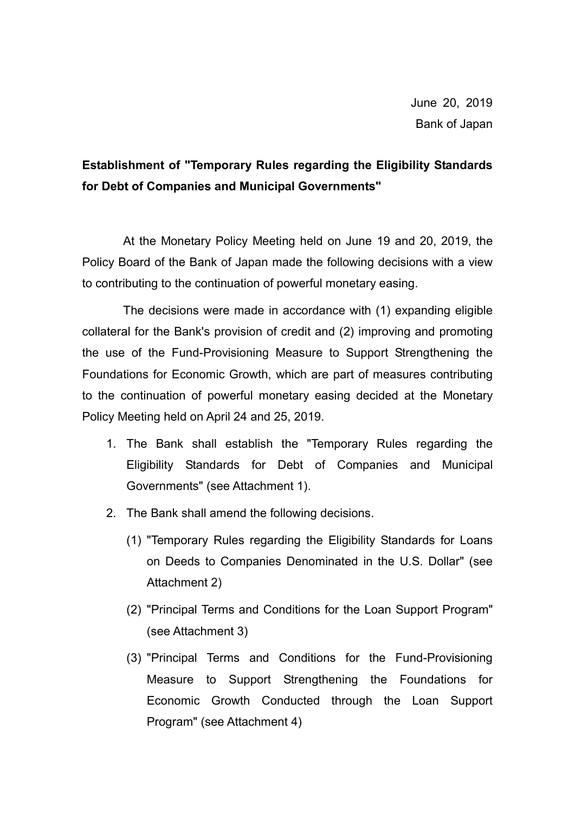# Establishment of "Temporary Rules regarding the Eligibility Standards for Debt of Companies and Municipal Governments"

At the Monetary Policy Meeting held on June 19 and 20, 2019, the Policy Board of the Bank of Japan made the following decisions with a view to contributing to the continuation of powerful monetary easing.

The decisions were made in accordance with (1) expanding eligible collateral for the Bank's provision of credit and (2) improving and promoting the use of the Fund-Provisioning Measure to Support Strengthening the Foundations for Economic Growth, which are part of measures contributing to the continuation of powerful monetary easing decided at the Monetary Policy Meeting held on April 24 and 25, 2019.

- 1. The Bank shall establish the "Temporary Rules regarding the Eligibility Standards for Debt of Companies and Municipal Governments" (see Attachment 1).
- 2. The Bank shall amend the following decisions.
	- (1) "Temporary Rules regarding the Eligibility Standards for Loans on Deeds to Companies Denominated in the U.S. Dollar" (see Attachment 2)
	- (2) "Principal Terms and Conditions for the Loan Support Program" (see Attachment 3)
	- (3) "Principal Terms and Conditions for the Fund-Provisioning Measure to Support Strengthening the Foundations for Economic Growth Conducted through the Loan Support Program" (see Attachment 4)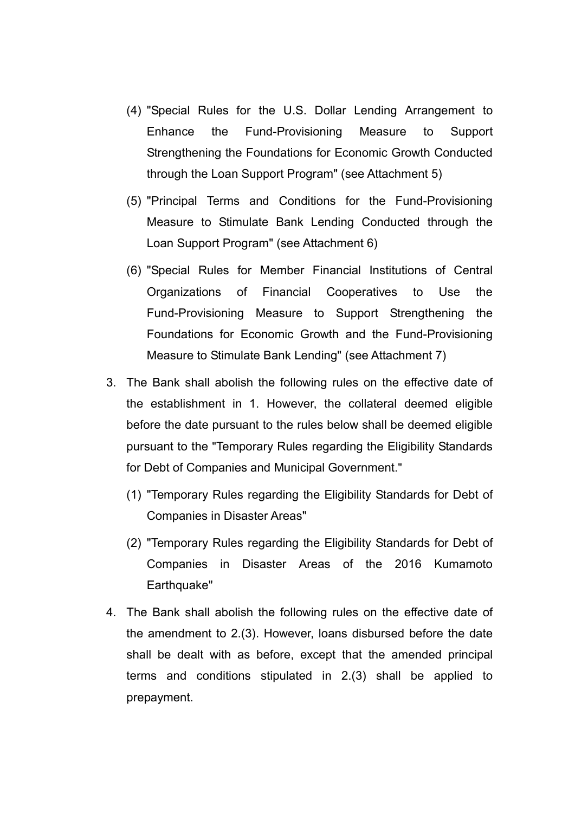- (4) "Special Rules for the U.S. Dollar Lending Arrangement to Enhance the Fund-Provisioning Measure to Support Strengthening the Foundations for Economic Growth Conducted through the Loan Support Program" (see Attachment 5)
- (5) "Principal Terms and Conditions for the Fund-Provisioning Measure to Stimulate Bank Lending Conducted through the Loan Support Program" (see Attachment 6)
- (6) "Special Rules for Member Financial Institutions of Central Organizations of Financial Cooperatives to Use the Fund-Provisioning Measure to Support Strengthening the Foundations for Economic Growth and the Fund-Provisioning Measure to Stimulate Bank Lending" (see Attachment 7)
- 3. The Bank shall abolish the following rules on the effective date of the establishment in 1. However, the collateral deemed eligible before the date pursuant to the rules below shall be deemed eligible pursuant to the "Temporary Rules regarding the Eligibility Standards for Debt of Companies and Municipal Government."
	- (1) "Temporary Rules regarding the Eligibility Standards for Debt of Companies in Disaster Areas"
	- (2) "Temporary Rules regarding the Eligibility Standards for Debt of Companies in Disaster Areas of the 2016 Kumamoto Earthquake"
- 4. The Bank shall abolish the following rules on the effective date of the amendment to 2.(3). However, loans disbursed before the date shall be dealt with as before, except that the amended principal terms and conditions stipulated in 2.(3) shall be applied to prepayment.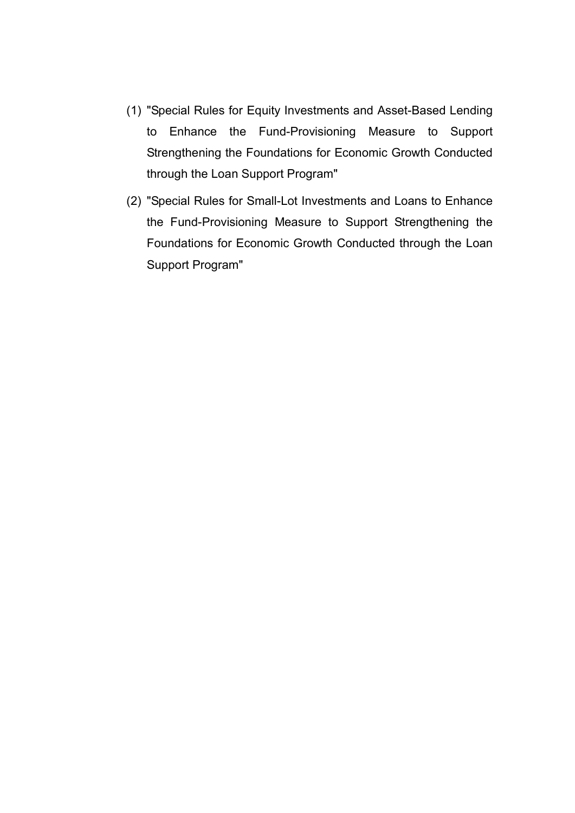- (1) "Special Rules for Equity Investments and Asset-Based Lending to Enhance the Fund-Provisioning Measure to Support Strengthening the Foundations for Economic Growth Conducted through the Loan Support Program"
- (2) "Special Rules for Small-Lot Investments and Loans to Enhance the Fund-Provisioning Measure to Support Strengthening the Foundations for Economic Growth Conducted through the Loan Support Program"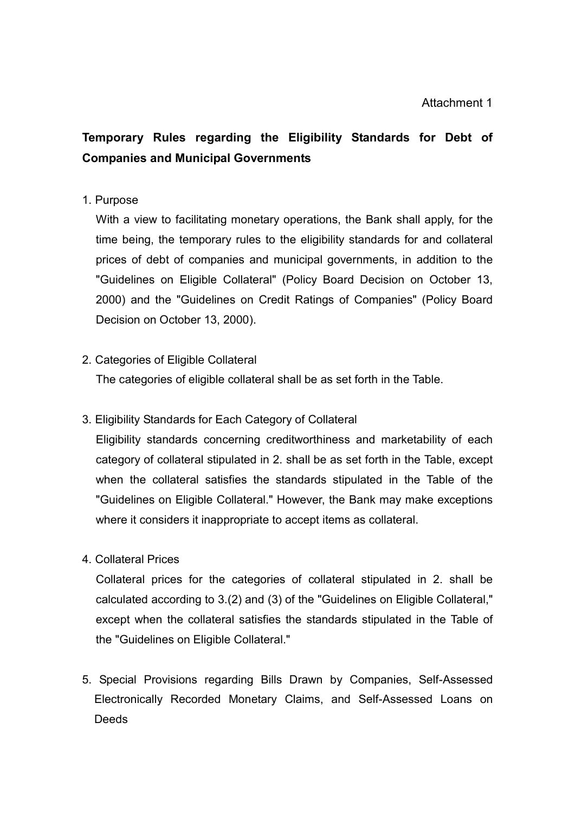# Temporary Rules regarding the Eligibility Standards for Debt of Companies and Municipal Governments

#### 1. Purpose

With a view to facilitating monetary operations, the Bank shall apply, for the time being, the temporary rules to the eligibility standards for and collateral prices of debt of companies and municipal governments, in addition to the "Guidelines on Eligible Collateral" (Policy Board Decision on October 13, 2000) and the "Guidelines on Credit Ratings of Companies" (Policy Board Decision on October 13, 2000).

### 2. Categories of Eligible Collateral

The categories of eligible collateral shall be as set forth in the Table.

## 3. Eligibility Standards for Each Category of Collateral

Eligibility standards concerning creditworthiness and marketability of each category of collateral stipulated in 2. shall be as set forth in the Table, except when the collateral satisfies the standards stipulated in the Table of the "Guidelines on Eligible Collateral." However, the Bank may make exceptions where it considers it inappropriate to accept items as collateral.

#### 4. Collateral Prices

Collateral prices for the categories of collateral stipulated in 2. shall be calculated according to 3.(2) and (3) of the "Guidelines on Eligible Collateral," except when the collateral satisfies the standards stipulated in the Table of the "Guidelines on Eligible Collateral."

5. Special Provisions regarding Bills Drawn by Companies, Self-Assessed Electronically Recorded Monetary Claims, and Self-Assessed Loans on **Deeds**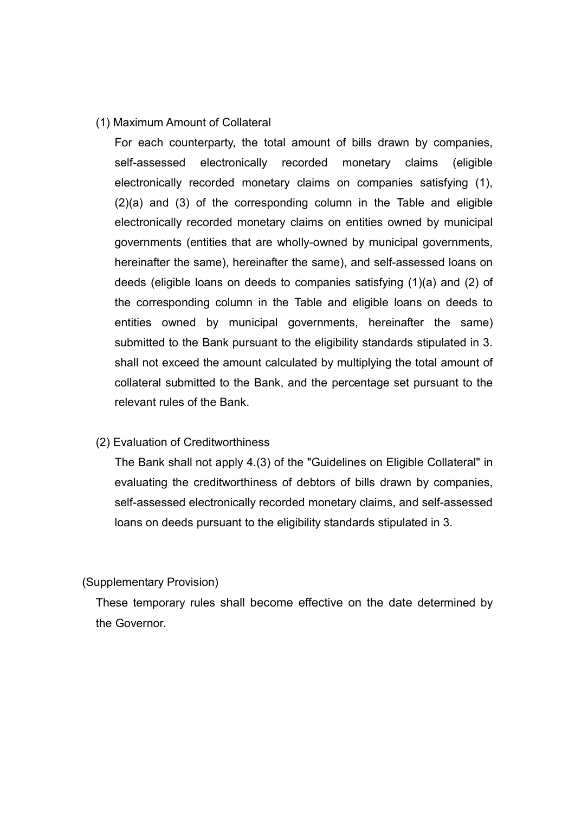#### (1) Maximum Amount of Collateral

For each counterparty, the total amount of bills drawn by companies, self-assessed electronically recorded monetary claims (eligible electronically recorded monetary claims on companies satisfying (1), (2)(a) and (3) of the corresponding column in the Table and eligible electronically recorded monetary claims on entities owned by municipal governments (entities that are wholly-owned by municipal governments, hereinafter the same), hereinafter the same), and self-assessed loans on deeds (eligible loans on deeds to companies satisfying (1)(a) and (2) of the corresponding column in the Table and eligible loans on deeds to entities owned by municipal governments, hereinafter the same) submitted to the Bank pursuant to the eligibility standards stipulated in 3. shall not exceed the amount calculated by multiplying the total amount of collateral submitted to the Bank, and the percentage set pursuant to the relevant rules of the Bank.

#### (2) Evaluation of Creditworthiness

The Bank shall not apply 4.(3) of the "Guidelines on Eligible Collateral" in evaluating the creditworthiness of debtors of bills drawn by companies, self-assessed electronically recorded monetary claims, and self-assessed loans on deeds pursuant to the eligibility standards stipulated in 3.

#### (Supplementary Provision)

These temporary rules shall become effective on the date determined by the Governor.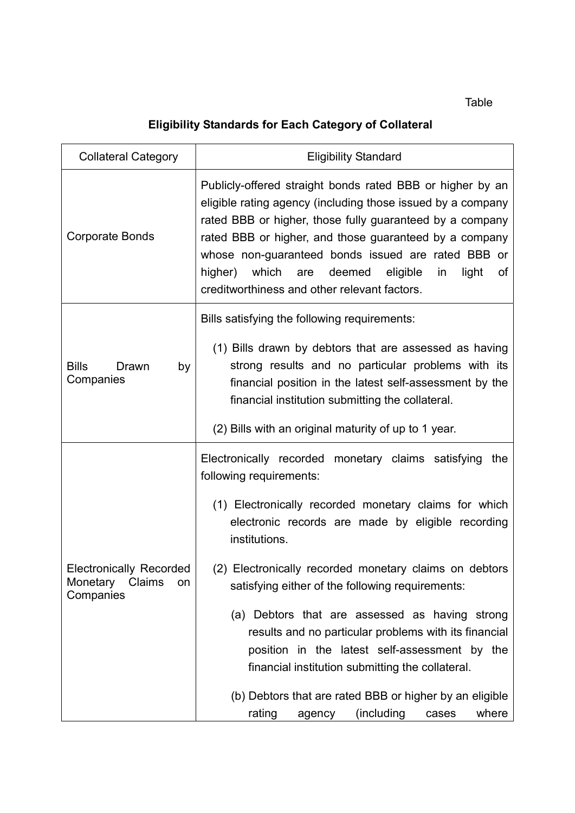Table

# Eligibility Standards for Each Category of Collateral

| <b>Collateral Category</b>                                              | <b>Eligibility Standard</b>                                                                                                                                                                                                                                                                                                                                                                                                               |
|-------------------------------------------------------------------------|-------------------------------------------------------------------------------------------------------------------------------------------------------------------------------------------------------------------------------------------------------------------------------------------------------------------------------------------------------------------------------------------------------------------------------------------|
| <b>Corporate Bonds</b>                                                  | Publicly-offered straight bonds rated BBB or higher by an<br>eligible rating agency (including those issued by a company<br>rated BBB or higher, those fully guaranteed by a company<br>rated BBB or higher, and those guaranteed by a company<br>whose non-guaranteed bonds issued are rated BBB or<br>higher)<br>which<br>deemed<br>eligible<br>light<br>are<br>in<br>of<br>creditworthiness and other relevant factors.                |
| <b>Bills</b><br>Drawn<br>by<br>Companies                                | Bills satisfying the following requirements:<br>(1) Bills drawn by debtors that are assessed as having<br>strong results and no particular problems with its<br>financial position in the latest self-assessment by the<br>financial institution submitting the collateral.                                                                                                                                                               |
|                                                                         | (2) Bills with an original maturity of up to 1 year.                                                                                                                                                                                                                                                                                                                                                                                      |
| <b>Electronically Recorded</b><br>Monetary<br>Claims<br>on<br>Companies | Electronically recorded monetary claims satisfying<br>the<br>following requirements:<br>(1) Electronically recorded monetary claims for which<br>electronic records are made by eligible recording<br>institutions.                                                                                                                                                                                                                       |
|                                                                         | (2) Electronically recorded monetary claims on debtors<br>satisfying either of the following requirements:<br>(a) Debtors that are assessed as having strong<br>results and no particular problems with its financial<br>position in the latest self-assessment by the<br>financial institution submitting the collateral.<br>(b) Debtors that are rated BBB or higher by an eligible<br>(including<br>where<br>rating<br>agency<br>cases |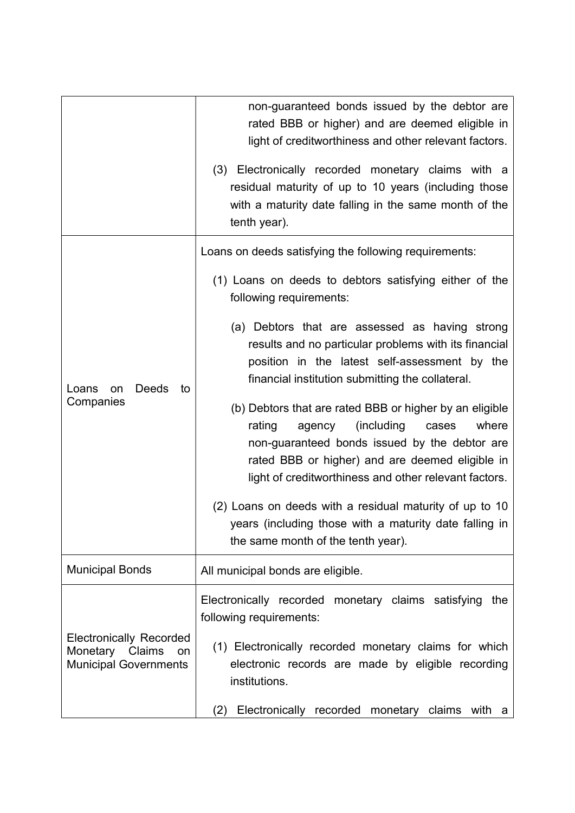|                                                                                         | non-guaranteed bonds issued by the debtor are<br>rated BBB or higher) and are deemed eligible in<br>light of creditworthiness and other relevant factors.                                                                                                                 |
|-----------------------------------------------------------------------------------------|---------------------------------------------------------------------------------------------------------------------------------------------------------------------------------------------------------------------------------------------------------------------------|
|                                                                                         | (3) Electronically recorded monetary claims with a<br>residual maturity of up to 10 years (including those<br>with a maturity date falling in the same month of the<br>tenth year).                                                                                       |
| Deeds<br>to<br>Loans<br>on<br>Companies                                                 | Loans on deeds satisfying the following requirements:                                                                                                                                                                                                                     |
|                                                                                         | (1) Loans on deeds to debtors satisfying either of the<br>following requirements:                                                                                                                                                                                         |
|                                                                                         | (a) Debtors that are assessed as having strong<br>results and no particular problems with its financial<br>position in the latest self-assessment by the<br>financial institution submitting the collateral.                                                              |
|                                                                                         | (b) Debtors that are rated BBB or higher by an eligible<br>rating<br>(including)<br>where<br>agency<br>cases<br>non-guaranteed bonds issued by the debtor are<br>rated BBB or higher) and are deemed eligible in<br>light of creditworthiness and other relevant factors. |
|                                                                                         | (2) Loans on deeds with a residual maturity of up to 10<br>years (including those with a maturity date falling in<br>the same month of the tenth year).                                                                                                                   |
| <b>Municipal Bonds</b>                                                                  | All municipal bonds are eligible.                                                                                                                                                                                                                                         |
| <b>Electronically Recorded</b><br>Monetary Claims<br>on<br><b>Municipal Governments</b> | Electronically recorded monetary claims satisfying<br>the<br>following requirements:                                                                                                                                                                                      |
|                                                                                         | (1) Electronically recorded monetary claims for which<br>electronic records are made by eligible recording<br>institutions.                                                                                                                                               |
|                                                                                         | Electronically recorded monetary claims with a<br>(2)                                                                                                                                                                                                                     |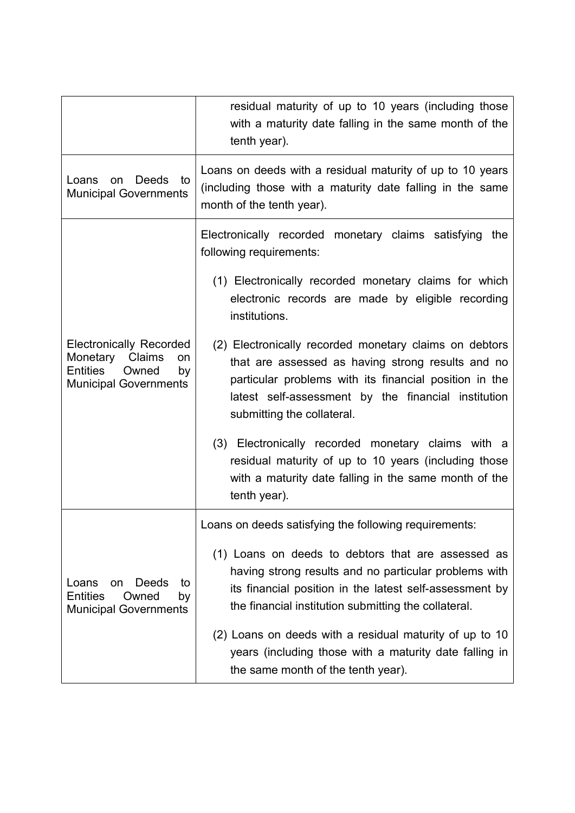|                                                                                                                                  | residual maturity of up to 10 years (including those<br>with a maturity date falling in the same month of the<br>tenth year).                                                                                                                              |  |
|----------------------------------------------------------------------------------------------------------------------------------|------------------------------------------------------------------------------------------------------------------------------------------------------------------------------------------------------------------------------------------------------------|--|
| <b>Deeds</b><br>Loans<br>to<br>on<br><b>Municipal Governments</b>                                                                | Loans on deeds with a residual maturity of up to 10 years<br>(including those with a maturity date falling in the same<br>month of the tenth year).                                                                                                        |  |
| <b>Electronically Recorded</b><br>Monetary Claims<br><b>on</b><br><b>Entities</b><br>Owned<br>by<br><b>Municipal Governments</b> | Electronically recorded monetary claims satisfying<br>the<br>following requirements:                                                                                                                                                                       |  |
|                                                                                                                                  | (1) Electronically recorded monetary claims for which<br>electronic records are made by eligible recording<br>institutions.                                                                                                                                |  |
|                                                                                                                                  | (2) Electronically recorded monetary claims on debtors<br>that are assessed as having strong results and no<br>particular problems with its financial position in the<br>latest self-assessment by the financial institution<br>submitting the collateral. |  |
|                                                                                                                                  | (3) Electronically recorded monetary claims with a<br>residual maturity of up to 10 years (including those<br>with a maturity date falling in the same month of the<br>tenth year).                                                                        |  |
| Deeds<br>Loans<br>on<br>to<br><b>Entities</b><br>Owned<br>by<br><b>Municipal Governments</b>                                     | Loans on deeds satisfying the following requirements:                                                                                                                                                                                                      |  |
|                                                                                                                                  | (1) Loans on deeds to debtors that are assessed as<br>having strong results and no particular problems with<br>its financial position in the latest self-assessment by<br>the financial institution submitting the collateral.                             |  |
|                                                                                                                                  | (2) Loans on deeds with a residual maturity of up to 10<br>years (including those with a maturity date falling in<br>the same month of the tenth year).                                                                                                    |  |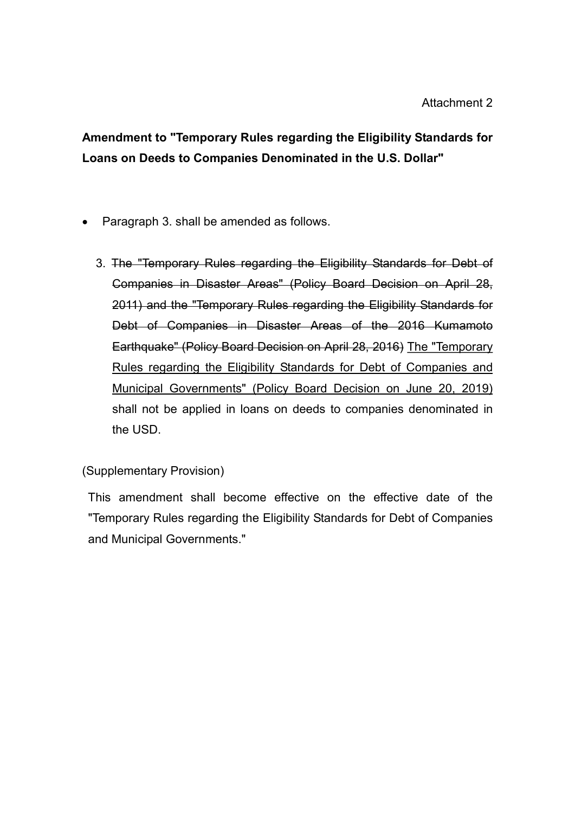Amendment to "Temporary Rules regarding the Eligibility Standards for Loans on Deeds to Companies Denominated in the U.S. Dollar"

- Paragraph 3. shall be amended as follows.
	- 3. The "Temporary Rules regarding the Eligibility Standards for Debt of Companies in Disaster Areas" (Policy Board Decision on April 28, 2011) and the "Temporary Rules regarding the Eligibility Standards for Debt of Companies in Disaster Areas of the 2016 Kumamoto Earthquake" (Policy Board Decision on April 28, 2016) The "Temporary Rules regarding the Eligibility Standards for Debt of Companies and Municipal Governments" (Policy Board Decision on June 20, 2019) shall not be applied in loans on deeds to companies denominated in the USD.

(Supplementary Provision)

This amendment shall become effective on the effective date of the "Temporary Rules regarding the Eligibility Standards for Debt of Companies and Municipal Governments."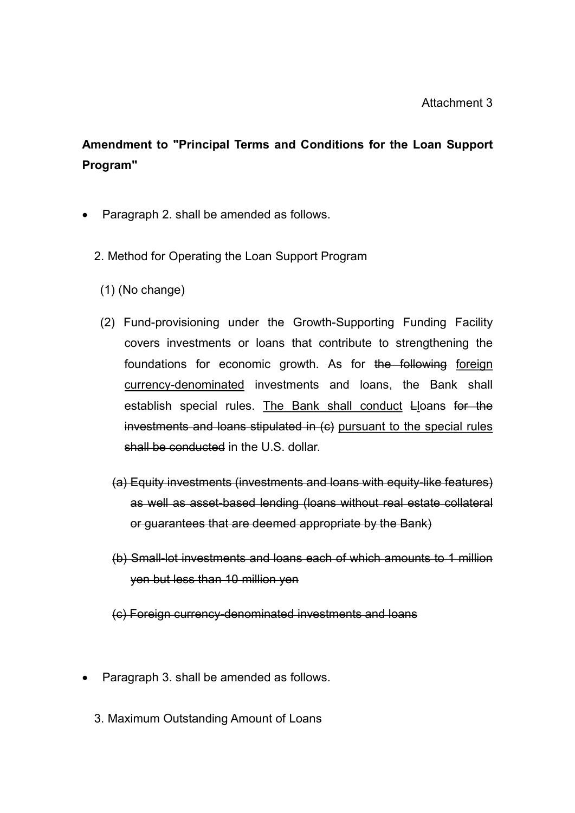# Amendment to "Principal Terms and Conditions for the Loan Support Program"

- Paragraph 2. shall be amended as follows.
	- 2. Method for Operating the Loan Support Program
		- (1) (No change)
		- (2) Fund-provisioning under the Growth-Supporting Funding Facility covers investments or loans that contribute to strengthening the foundations for economic growth. As for the following foreign currency-denominated investments and loans, the Bank shall establish special rules. The Bank shall conduct Lloans for the investments and loans stipulated in (c) pursuant to the special rules shall be conducted in the U.S. dollar.
			- (a) Equity investments (investments and loans with equity-like features) as well as asset-based lending (loans without real estate collateral or guarantees that are deemed appropriate by the Bank)
			- (b) Small-lot investments and loans each of which amounts to 1 million yen but less than 10 million yen
			- (c) Foreign currency-denominated investments and loans
- Paragraph 3. shall be amended as follows.
	- 3. Maximum Outstanding Amount of Loans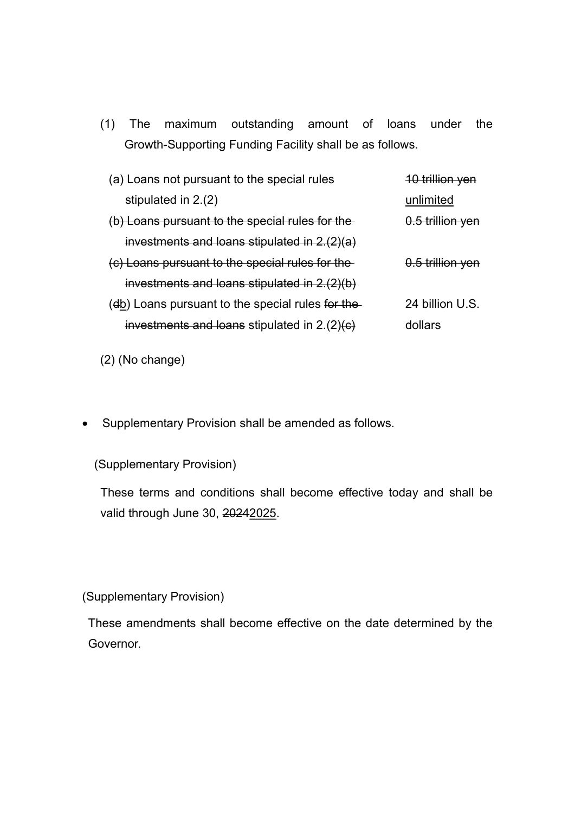(1) The maximum outstanding amount of loans under the Growth-Supporting Funding Facility shall be as follows.

| (a) Loans not pursuant to the special rules       | 10 trillion yen  |
|---------------------------------------------------|------------------|
| stipulated in 2.(2)                               | unlimited        |
| (b) Loans pursuant to the special rules for the   | 0.5 trillion yen |
| investments and loans stipulated in $2.(2)(a)$    |                  |
| (c) Loans pursuant to the special rules for the   | 0.5 trillion yen |
| investments and loans stipulated in $2.(2)(b)$    |                  |
| (db) Loans pursuant to the special rules for the- | 24 billion U.S.  |
| investments and loans stipulated in $2.(2)(e)$    | dollars          |

(2) (No change)

Supplementary Provision shall be amended as follows.

(Supplementary Provision)

These terms and conditions shall become effective today and shall be valid through June 30, 20242025.

(Supplementary Provision)

These amendments shall become effective on the date determined by the Governor.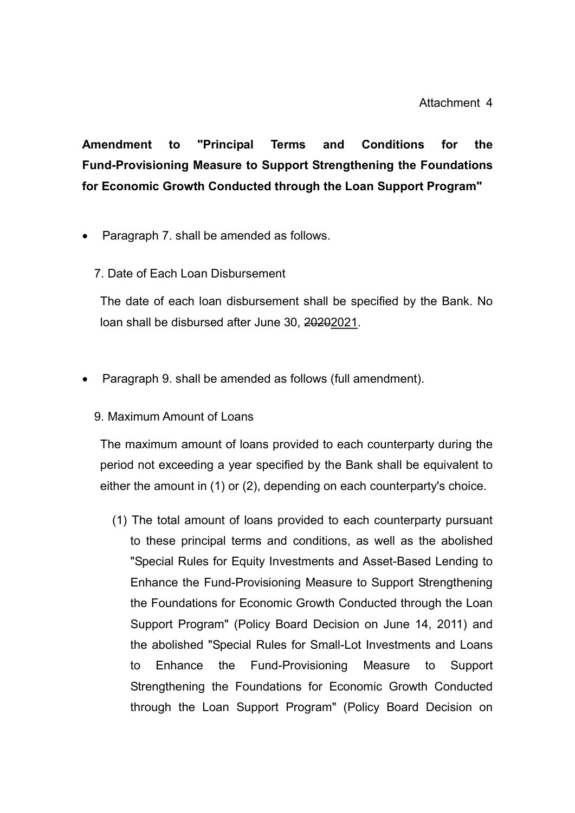Amendment to "Principal Terms and Conditions for the Fund-Provisioning Measure to Support Strengthening the Foundations for Economic Growth Conducted through the Loan Support Program"

- Paragraph 7. shall be amended as follows.
	- 7. Date of Each Loan Disbursement

The date of each loan disbursement shall be specified by the Bank. No loan shall be disbursed after June 30, 20202021.

- Paragraph 9. shall be amended as follows (full amendment).
	- 9. Maximum Amount of Loans

The maximum amount of loans provided to each counterparty during the period not exceeding a year specified by the Bank shall be equivalent to either the amount in (1) or (2), depending on each counterparty's choice.

(1) The total amount of loans provided to each counterparty pursuant to these principal terms and conditions, as well as the abolished "Special Rules for Equity Investments and Asset-Based Lending to Enhance the Fund-Provisioning Measure to Support Strengthening the Foundations for Economic Growth Conducted through the Loan Support Program" (Policy Board Decision on June 14, 2011) and the abolished "Special Rules for Small-Lot Investments and Loans to Enhance the Fund-Provisioning Measure to Support Strengthening the Foundations for Economic Growth Conducted through the Loan Support Program" (Policy Board Decision on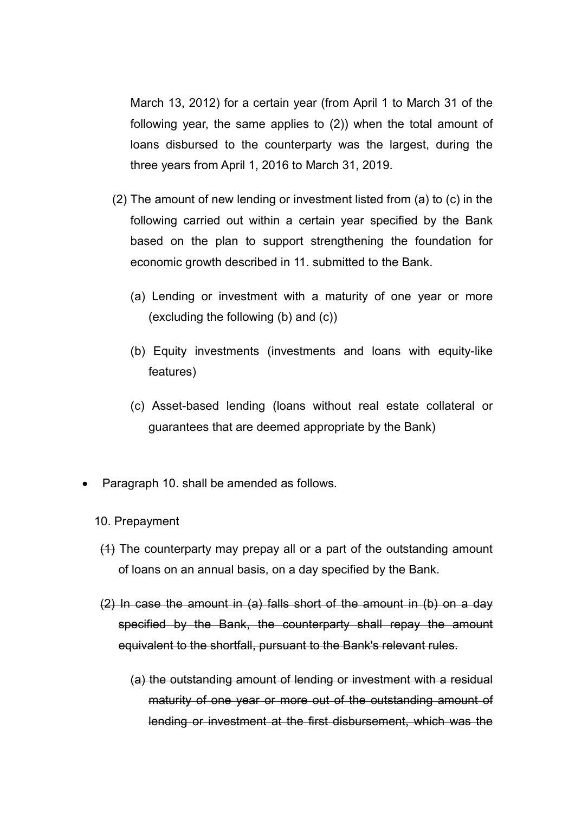March 13, 2012) for a certain year (from April 1 to March 31 of the following year, the same applies to (2)) when the total amount of loans disbursed to the counterparty was the largest, during the three years from April 1, 2016 to March 31, 2019.

- (2) The amount of new lending or investment listed from (a) to (c) in the following carried out within a certain year specified by the Bank based on the plan to support strengthening the foundation for economic growth described in 11. submitted to the Bank.
	- (a) Lending or investment with a maturity of one year or more (excluding the following (b) and (c))
	- (b) Equity investments (investments and loans with equity-like features)
	- (c) Asset-based lending (loans without real estate collateral or guarantees that are deemed appropriate by the Bank)
- Paragraph 10. shall be amended as follows.
	- 10. Prepayment
	- (1) The counterparty may prepay all or a part of the outstanding amount of loans on an annual basis, on a day specified by the Bank.
	- (2) In case the amount in (a) falls short of the amount in (b) on a day specified by the Bank, the counterparty shall repay the amount equivalent to the shortfall, pursuant to the Bank's relevant rules.
		- (a) the outstanding amount of lending or investment with a residual maturity of one year or more out of the outstanding amount of lending or investment at the first disbursement, which was the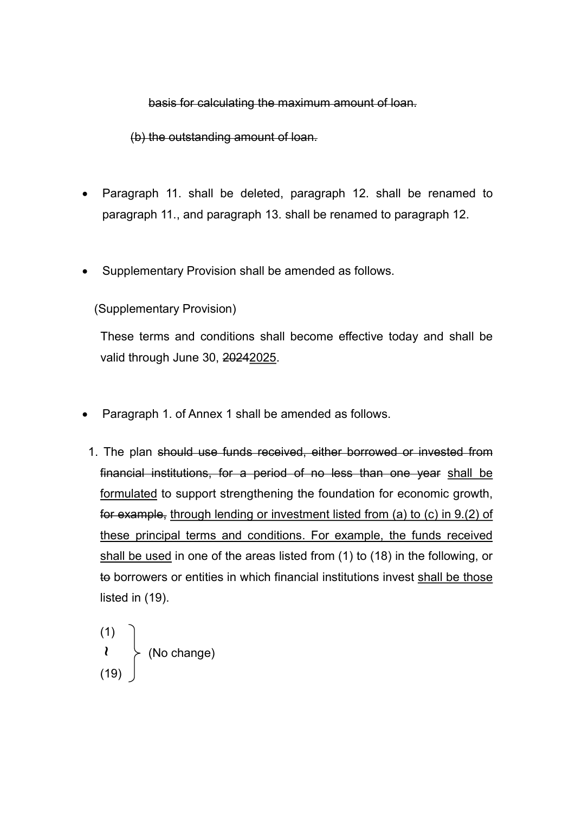basis for calculating the maximum amount of loan.

(b) the outstanding amount of loan.

- Paragraph 11. shall be deleted, paragraph 12. shall be renamed to paragraph 11., and paragraph 13. shall be renamed to paragraph 12.
- Supplementary Provision shall be amended as follows.

(Supplementary Provision)

These terms and conditions shall become effective today and shall be valid through June 30, 20242025.

- Paragraph 1. of Annex 1 shall be amended as follows.
- 1. The plan should use funds received, either borrowed or invested from financial institutions, for a period of no less than one year shall be formulated to support strengthening the foundation for economic growth, for example, through lending or investment listed from (a) to (c) in 9.(2) of these principal terms and conditions. For example, the funds received shall be used in one of the areas listed from (1) to (18) in the following, or to borrowers or entities in which financial institutions invest shall be those listed in (19).

(1)  $\lambda \rightarrow (N_{0} \text{ change})$ (19) ~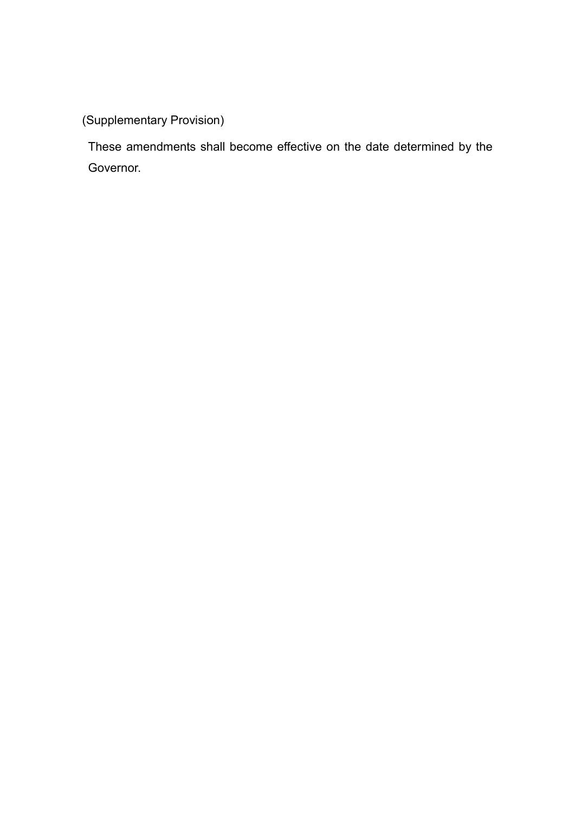(Supplementary Provision)

These amendments shall become effective on the date determined by the Governor.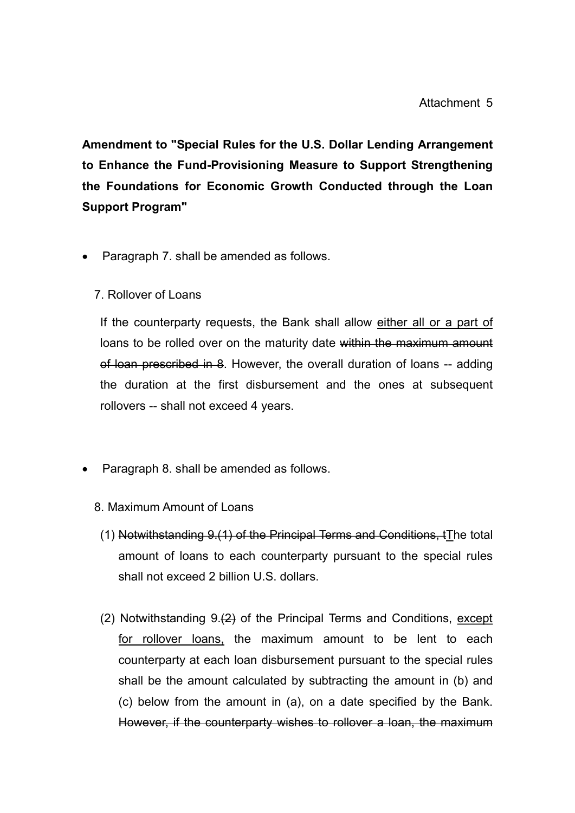Amendment to "Special Rules for the U.S. Dollar Lending Arrangement to Enhance the Fund-Provisioning Measure to Support Strengthening the Foundations for Economic Growth Conducted through the Loan Support Program"

- Paragraph 7. shall be amended as follows.
	- 7. Rollover of Loans

If the counterparty requests, the Bank shall allow either all or a part of loans to be rolled over on the maturity date within the maximum amount of loan prescribed in 8. However, the overall duration of loans -- adding the duration at the first disbursement and the ones at subsequent rollovers -- shall not exceed 4 years.

- Paragraph 8. shall be amended as follows.
	- 8. Maximum Amount of Loans
	- (1) Notwithstanding 9.(1) of the Principal Terms and Conditions, tThe total amount of loans to each counterparty pursuant to the special rules shall not exceed 2 billion U.S. dollars.
	- (2) Notwithstanding 9.(2) of the Principal Terms and Conditions, except for rollover loans, the maximum amount to be lent to each counterparty at each loan disbursement pursuant to the special rules shall be the amount calculated by subtracting the amount in (b) and (c) below from the amount in (a), on a date specified by the Bank. However, if the counterparty wishes to rollover a loan, the maximum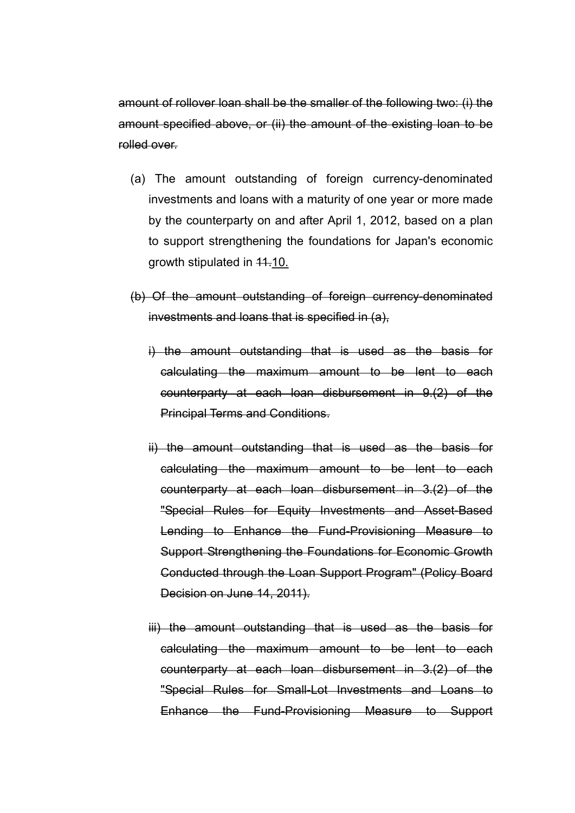amount of rollover loan shall be the smaller of the following two: (i) the amount specified above, or (ii) the amount of the existing loan to be rolled over.

- (a) The amount outstanding of foreign currency-denominated investments and loans with a maturity of one year or more made by the counterparty on and after April 1, 2012, based on a plan to support strengthening the foundations for Japan's economic growth stipulated in 11.10.
- (b) Of the amount outstanding of foreign currency-denominated investments and loans that is specified in (a),
	- i) the amount outstanding that is used as the basis for calculating the maximum amount to be lent to each counterparty at each loan disbursement in 9.(2) of the Principal Terms and Conditions.
	- ii) the amount outstanding that is used as the basis for calculating the maximum amount to be lent to each counterparty at each loan disbursement in 3.(2) of the "Special Rules for Equity Investments and Asset-Based Lending to Enhance the Fund-Provisioning Measure to Support Strengthening the Foundations for Economic Growth Conducted through the Loan Support Program" (Policy Board Decision on June 14, 2011).
	- iii) the amount outstanding that is used as the basis for calculating the maximum amount to be lent to each counterparty at each loan disbursement in 3.(2) of the "Special Rules for Small-Lot Investments and Loans to Enhance the Fund-Provisioning Measure to Support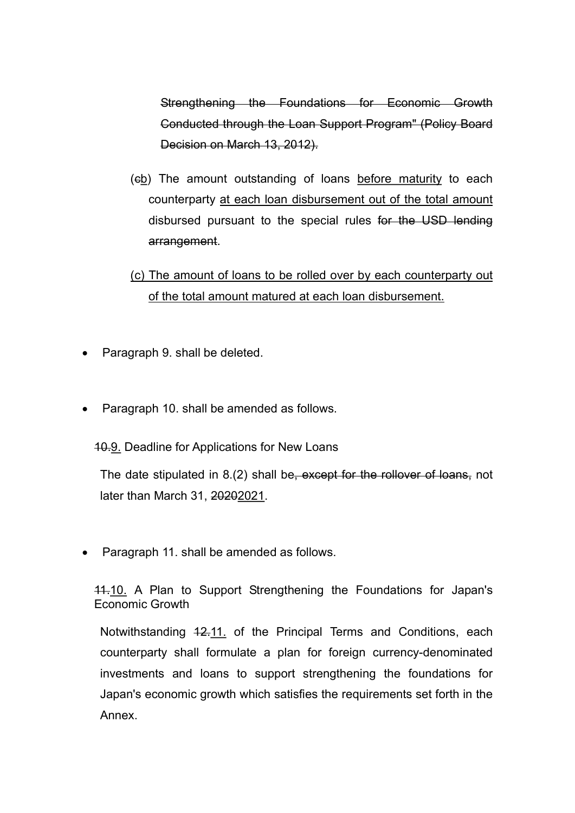Strengthening the Foundations for Economic Growth Conducted through the Loan Support Program" (Policy Board Decision on March 13, 2012).

- (cb) The amount outstanding of loans before maturity to each counterparty at each loan disbursement out of the total amount disbursed pursuant to the special rules for the USD lending arrangement.
- (c) The amount of loans to be rolled over by each counterparty out of the total amount matured at each loan disbursement.
- Paragraph 9. shall be deleted.
- Paragraph 10. shall be amended as follows.

10.9. Deadline for Applications for New Loans

The date stipulated in 8.(2) shall be, except for the rollover of loans, not later than March 31, 20202021.

• Paragraph 11. shall be amended as follows.

11.10. A Plan to Support Strengthening the Foundations for Japan's Economic Growth

Notwithstanding 12.11. of the Principal Terms and Conditions, each counterparty shall formulate a plan for foreign currency-denominated investments and loans to support strengthening the foundations for Japan's economic growth which satisfies the requirements set forth in the Annex.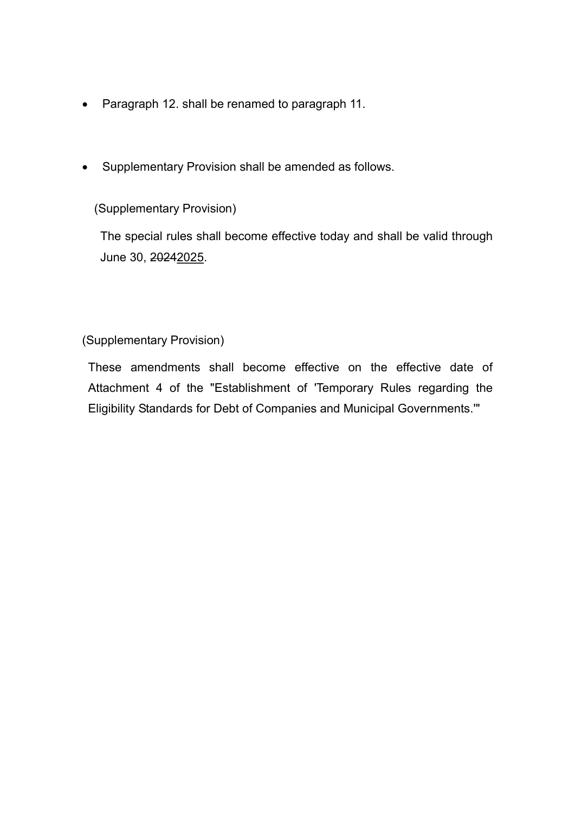- Paragraph 12. shall be renamed to paragraph 11.
- Supplementary Provision shall be amended as follows.

## (Supplementary Provision)

The special rules shall become effective today and shall be valid through June 30, 20242025.

(Supplementary Provision)

These amendments shall become effective on the effective date of Attachment 4 of the "Establishment of 'Temporary Rules regarding the Eligibility Standards for Debt of Companies and Municipal Governments.'"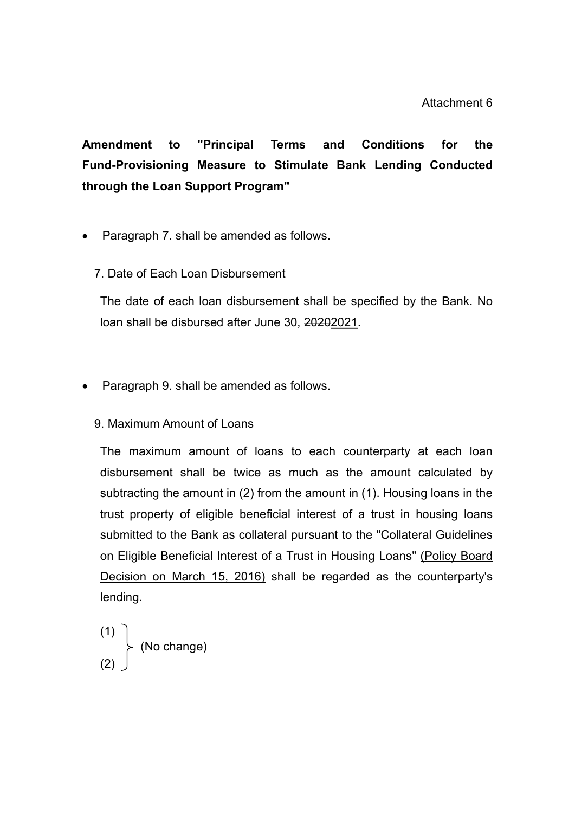Amendment to "Principal Terms and Conditions for the Fund-Provisioning Measure to Stimulate Bank Lending Conducted through the Loan Support Program"

- Paragraph 7. shall be amended as follows.
	- 7. Date of Each Loan Disbursement

The date of each loan disbursement shall be specified by the Bank. No loan shall be disbursed after June 30, 20202021.

- Paragraph 9, shall be amended as follows.
	- 9. Maximum Amount of Loans

The maximum amount of loans to each counterparty at each loan disbursement shall be twice as much as the amount calculated by subtracting the amount in (2) from the amount in (1). Housing loans in the trust property of eligible beneficial interest of a trust in housing loans submitted to the Bank as collateral pursuant to the "Collateral Guidelines on Eligible Beneficial Interest of a Trust in Housing Loans" (Policy Board Decision on March 15, 2016) shall be regarded as the counterparty's lending.

$$
\begin{array}{c}\n(1) \\
(2)\n\end{array}
$$
 (No change)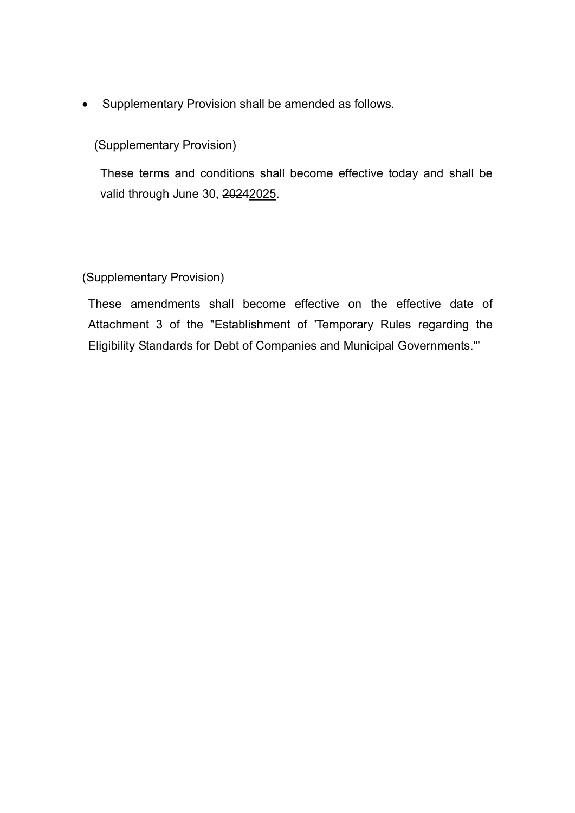Supplementary Provision shall be amended as follows.

(Supplementary Provision)

These terms and conditions shall become effective today and shall be valid through June 30, 20242025.

## (Supplementary Provision)

These amendments shall become effective on the effective date of Attachment 3 of the "Establishment of 'Temporary Rules regarding the Eligibility Standards for Debt of Companies and Municipal Governments.'"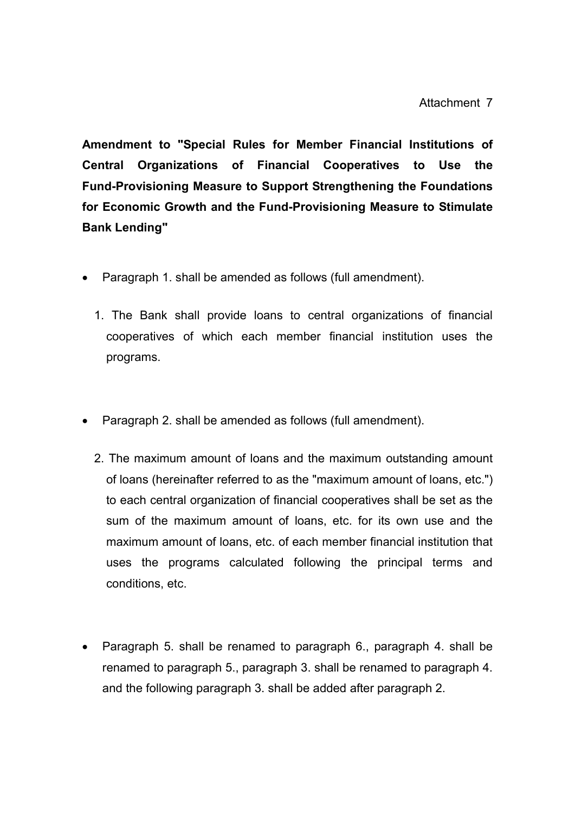Amendment to "Special Rules for Member Financial Institutions of Central Organizations of Financial Cooperatives to Use the Fund-Provisioning Measure to Support Strengthening the Foundations for Economic Growth and the Fund-Provisioning Measure to Stimulate Bank Lending"

- Paragraph 1. shall be amended as follows (full amendment).
	- 1. The Bank shall provide loans to central organizations of financial cooperatives of which each member financial institution uses the programs.
- Paragraph 2. shall be amended as follows (full amendment).
	- 2. The maximum amount of loans and the maximum outstanding amount of loans (hereinafter referred to as the "maximum amount of loans, etc.") to each central organization of financial cooperatives shall be set as the sum of the maximum amount of loans, etc. for its own use and the maximum amount of loans, etc. of each member financial institution that uses the programs calculated following the principal terms and conditions, etc.
- Paragraph 5. shall be renamed to paragraph 6., paragraph 4. shall be renamed to paragraph 5., paragraph 3. shall be renamed to paragraph 4. and the following paragraph 3. shall be added after paragraph 2.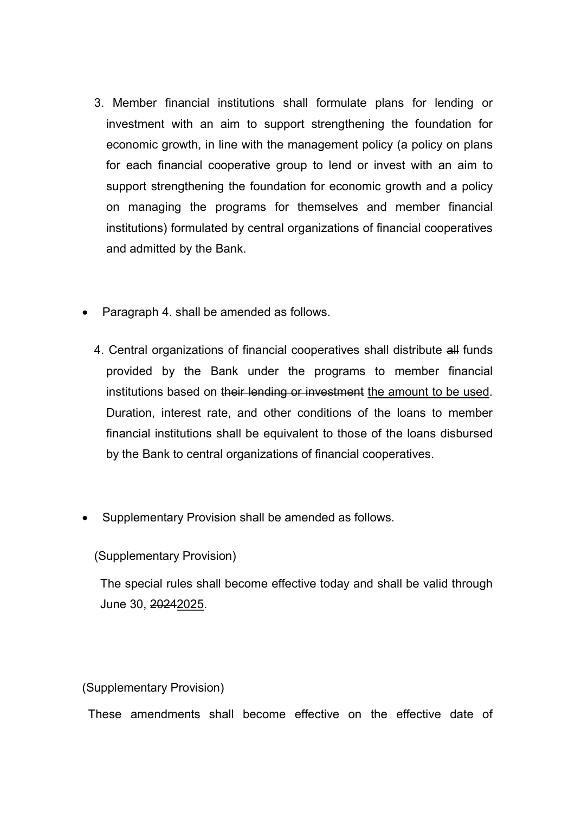- 3. Member financial institutions shall formulate plans for lending or investment with an aim to support strengthening the foundation for economic growth, in line with the management policy (a policy on plans for each financial cooperative group to lend or invest with an aim to support strengthening the foundation for economic growth and a policy on managing the programs for themselves and member financial institutions) formulated by central organizations of financial cooperatives and admitted by the Bank.
- Paragraph 4. shall be amended as follows.
	- 4. Central organizations of financial cooperatives shall distribute all funds provided by the Bank under the programs to member financial institutions based on their lending or investment the amount to be used. Duration, interest rate, and other conditions of the loans to member financial institutions shall be equivalent to those of the loans disbursed by the Bank to central organizations of financial cooperatives.
- Supplementary Provision shall be amended as follows.

(Supplementary Provision)

The special rules shall become effective today and shall be valid through June 30, 20242025.

(Supplementary Provision)

These amendments shall become effective on the effective date of